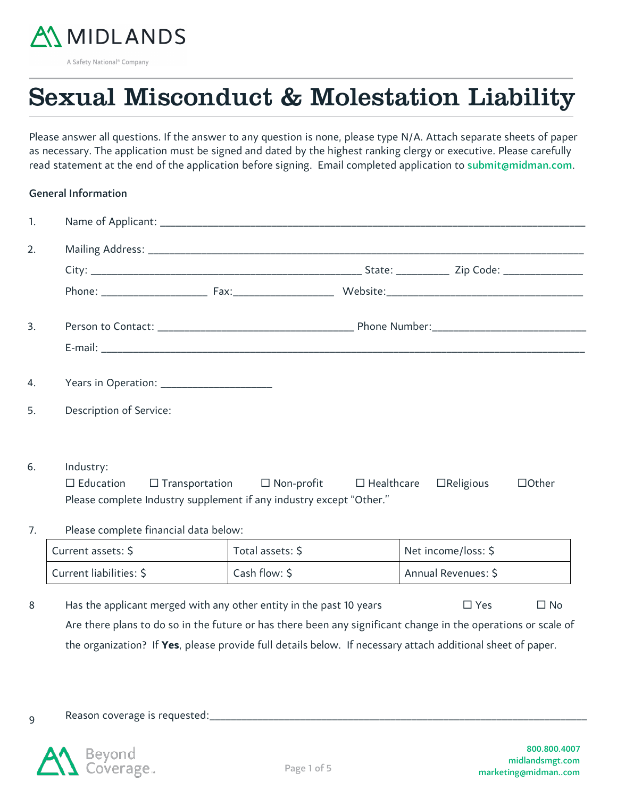

A Safety National<sup>®</sup> Company

# Sexual Misconduct & Molestation Liability

Please answer all questions. If the answer to any question is none, please type N/A. Attach separate sheets of paper as necessary. The application must be signed and dated by the highest ranking clergy or executive. Please carefully read statement at the end of the application before signing. Email completed application to [submit@midman.com](mailto:submit@midman.com).

## General Information

| $\mathbf{1}$ . |                                                                     |                                                                            |                     |              |
|----------------|---------------------------------------------------------------------|----------------------------------------------------------------------------|---------------------|--------------|
| 2.             |                                                                     |                                                                            |                     |              |
|                |                                                                     |                                                                            |                     |              |
|                |                                                                     |                                                                            |                     |              |
| 3.             |                                                                     |                                                                            |                     |              |
|                |                                                                     |                                                                            |                     |              |
| 4.             |                                                                     |                                                                            |                     |              |
| 5.             | Description of Service:                                             |                                                                            |                     |              |
| 6.             | Industry:                                                           |                                                                            |                     |              |
|                | $\Box$ Education                                                    | $\Box$ Transportation $\Box$ Non-profit $\Box$ Healthcare $\Box$ Religious |                     | $\Box$ Other |
|                | Please complete Industry supplement if any industry except "Other." |                                                                            |                     |              |
| 7.             | Please complete financial data below:                               |                                                                            |                     |              |
|                | Current assets: \$                                                  | Total assets: \$                                                           | Net income/loss: \$ |              |
|                | Current liabilities: \$                                             | Cash flow: \$                                                              | Annual Revenues: \$ |              |

8 Has the applicant merged with any other entity in the past 10 years  $\square$  Yes  $\square$  No Are there plans to do so in the future or has there been any significant change in the operations or scale of the organization? If **Yes**, please provide full details below. If necessary attach additional sheet of paper.

9 Reason coverage is requested:

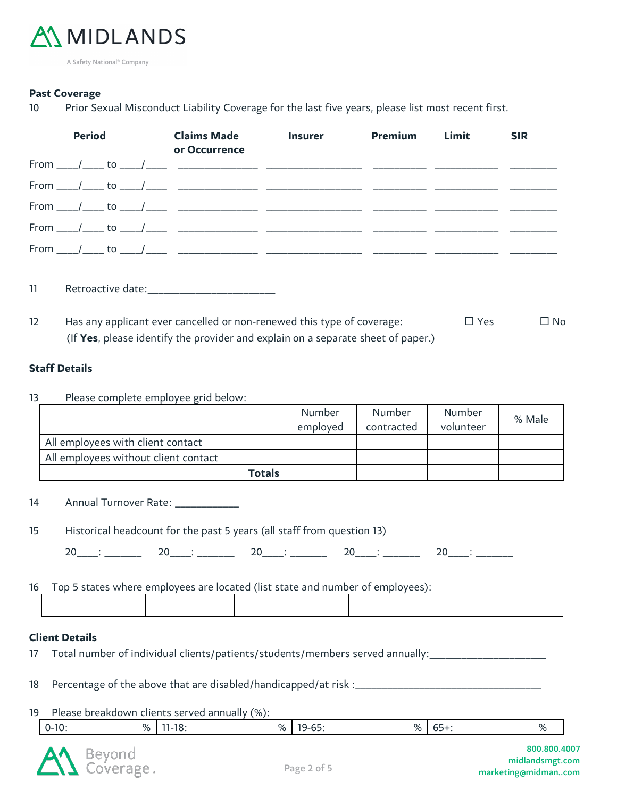

A Safety National<sup>®</sup> Company

### **Past Coverage**

10 Prior Sexual Misconduct Liability Coverage for the last five years, please list most recent first.

|    | <b>Period</b> |  | <b>Claims Made</b><br>or Occurrence | <b>Insurer</b> | <b>Premium</b> | Limit | <b>SIR</b> |
|----|---------------|--|-------------------------------------|----------------|----------------|-------|------------|
|    |               |  |                                     |                |                |       |            |
|    |               |  |                                     |                |                |       |            |
|    |               |  |                                     |                |                |       |            |
|    |               |  |                                     |                |                |       |            |
|    |               |  |                                     |                |                |       |            |
| 11 |               |  |                                     |                |                |       |            |

12 Has any applicant ever cancelled or non-renewed this type of coverage:  $\square$  Yes  $\square$  No (If **Yes**, please identify the provider and explain on a separate sheet of paper.)

## **Staff Details**

13 Please complete employee grid below:

|                                      | Number   | Number     | Number    |        |
|--------------------------------------|----------|------------|-----------|--------|
|                                      | employed | contracted | volunteer | % Male |
| All employees with client contact    |          |            |           |        |
| All employees without client contact |          |            |           |        |
| Totals                               |          |            |           |        |

14 Annual Turnover Rate: \_\_\_\_\_\_\_\_\_\_\_\_

15 Historical headcount for the past 5 years (all staff from question 13)

 $20 \qquad : \qquad 20 \qquad : \qquad 20 \qquad : \qquad 20 \qquad : \qquad 20 \qquad : \qquad 20 \qquad : \qquad 20 \qquad : \qquad 20 \qquad : \qquad 20 \qquad : \qquad 20 \qquad : \qquad 20 \qquad : \qquad 20 \qquad : \qquad 20 \qquad : \qquad 20 \qquad : \qquad 20 \qquad : \qquad 20 \qquad : \qquad 20 \qquad : \qquad 20 \qquad : \qquad 20 \qquad : \qquad 20 \qquad : \qquad 20 \qquad : \qquad 20 \qquad : \qquad$ 

16 Top 5 states where employees are located (list state and number of employees):

#### **Client Details**

- 17 Total number of individual clients/patients/students/members served annually:<br>
- 18 Percentage of the above that are disabled/handicapped/at risk :\_\_\_\_\_\_\_\_\_\_\_\_\_\_\_\_\_\_\_\_\_\_\_\_\_\_\_\_\_\_\_\_\_\_\_
- 19 Please breakdown clients served annually (%):

| --<br>$0-10.$<br>- -<br>10.<br>n/<br>$O_{\alpha}$<br>$U_{\perp}$<br>--<br>$\gamma_{\cap}$<br>. U<br>$ -$ |
|----------------------------------------------------------------------------------------------------------|
|----------------------------------------------------------------------------------------------------------|

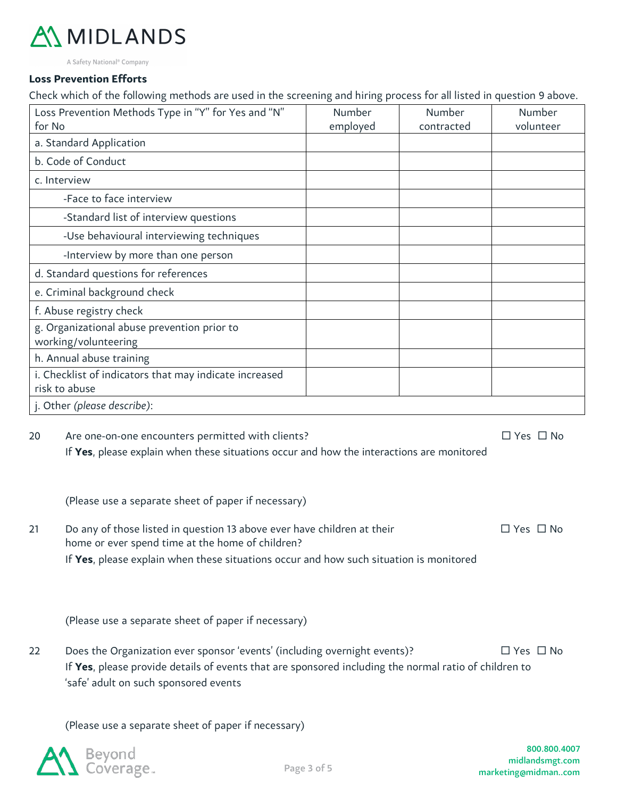# MIDLANDS

A Safety National<sup>®</sup> Company

#### **Loss Prevention Efforts**

Check which of the following methods are used in the screening and hiring process for all listed in question 9 above.

| Loss Prevention Methods Type in "Y" for Yes and "N"<br>for No           | Number<br>employed | Number<br>contracted | Number<br>volunteer |
|-------------------------------------------------------------------------|--------------------|----------------------|---------------------|
| a. Standard Application                                                 |                    |                      |                     |
| b. Code of Conduct                                                      |                    |                      |                     |
| c. Interview                                                            |                    |                      |                     |
| -Face to face interview                                                 |                    |                      |                     |
| -Standard list of interview questions                                   |                    |                      |                     |
| -Use behavioural interviewing techniques                                |                    |                      |                     |
| -Interview by more than one person                                      |                    |                      |                     |
| d. Standard questions for references                                    |                    |                      |                     |
| e. Criminal background check                                            |                    |                      |                     |
| f. Abuse registry check                                                 |                    |                      |                     |
| g. Organizational abuse prevention prior to<br>working/volunteering     |                    |                      |                     |
| h. Annual abuse training                                                |                    |                      |                     |
| i. Checklist of indicators that may indicate increased<br>risk to abuse |                    |                      |                     |
| j. Other (please describe):                                             |                    |                      |                     |

20 Are one-on-one encounters permitted with clients?  $\square$  Yes  $\square$  No If **Yes**, please explain when these situations occur and how the interactions are monitored

(Please use a separate sheet of paper if necessary)

21 Do any of those listed in question 13 above ever have children at their  $\square$  Yes  $\square$  No home or ever spend time at the home of children? If **Yes**, please explain when these situations occur and how such situation is monitored

(Please use a separate sheet of paper if necessary)

22 Does the Organization ever sponsor 'events' (including overnight events)?  $\square$  Yes  $\square$  No If **Yes**, please provide details of events that are sponsored including the normal ratio of children to 'safe' adult on such sponsored events

(Please use a separate sheet of paper if necessary)

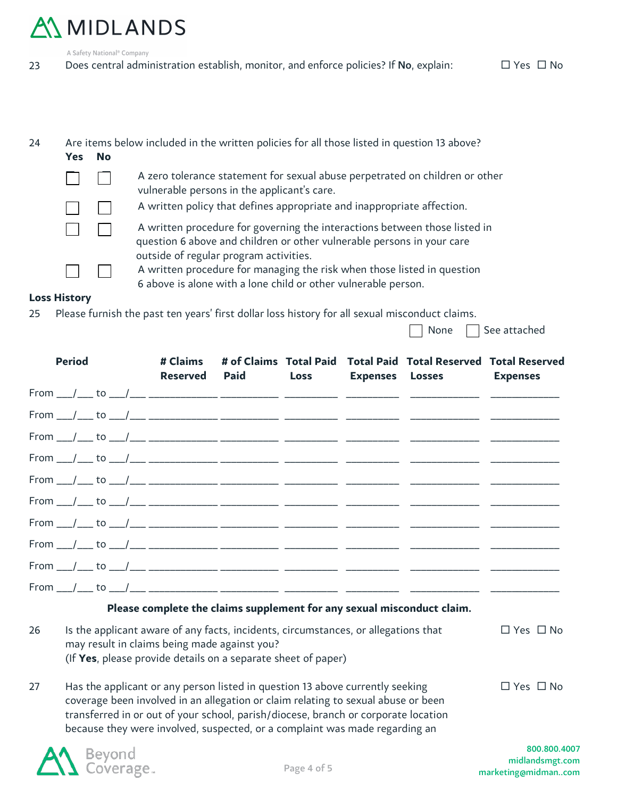# A MIDLANDS

A Safety National<sup>®</sup> Company

23 Does central administration establish, monitor, and enforce policies? If No, explain:  $\square$  Yes  $\square$  No

| 24 | <b>Yes</b> | <b>No</b> | Are items below included in the written policies for all those listed in question 13 above?                                                                                                    |
|----|------------|-----------|------------------------------------------------------------------------------------------------------------------------------------------------------------------------------------------------|
|    |            |           | A zero tolerance statement for sexual abuse perpetrated on children or other<br>vulnerable persons in the applicant's care.                                                                    |
|    |            |           | A written policy that defines appropriate and inappropriate affection.                                                                                                                         |
|    |            |           | A written procedure for governing the interactions between those listed in<br>question 6 above and children or other vulnerable persons in your care<br>outside of regular program activities. |
|    |            |           | A written procedure for managing the risk when those listed in question<br>6 above is alone with a lone child or other vulnerable person.                                                      |

### **Loss History**

25 Please furnish the past ten years' first dollar loss history for all sexual misconduct claims.

None  $\Box$  See attached

|    | <b>Period</b> |  | # Claims<br><b>Reserved</b> | <b>Paid</b>                                                                                                                                                                                         | <b>Loss</b> | # of Claims Total Paid Total Paid Total Reserved Total Reserved<br>Expenses Losses Expenses |                      |
|----|---------------|--|-----------------------------|-----------------------------------------------------------------------------------------------------------------------------------------------------------------------------------------------------|-------------|---------------------------------------------------------------------------------------------|----------------------|
|    |               |  |                             |                                                                                                                                                                                                     |             |                                                                                             |                      |
|    |               |  |                             |                                                                                                                                                                                                     |             |                                                                                             |                      |
|    |               |  |                             |                                                                                                                                                                                                     |             |                                                                                             |                      |
|    |               |  |                             |                                                                                                                                                                                                     |             |                                                                                             |                      |
|    |               |  |                             |                                                                                                                                                                                                     |             |                                                                                             |                      |
|    |               |  |                             |                                                                                                                                                                                                     |             |                                                                                             |                      |
|    |               |  |                             |                                                                                                                                                                                                     |             |                                                                                             |                      |
|    |               |  |                             |                                                                                                                                                                                                     |             |                                                                                             |                      |
|    |               |  |                             |                                                                                                                                                                                                     |             |                                                                                             |                      |
|    |               |  |                             |                                                                                                                                                                                                     |             |                                                                                             |                      |
|    |               |  |                             |                                                                                                                                                                                                     |             | Please complete the claims supplement for any sexual misconduct claim.                      |                      |
| 26 |               |  |                             | Is the applicant aware of any facts, incidents, circumstances, or allegations that<br>may result in claims being made against you?<br>(If Yes, please provide details on a separate sheet of paper) |             |                                                                                             | $\Box$ Yes $\Box$ No |

27 Has the applicant or any person listed in question 13 above currently seeking  $\square$  Yes  $\square$  No coverage been involved in an allegation or claim relating to sexual abuse or been transferred in or out of your school, parish/diocese, branch or corporate location because they were involved, suspected, or a complaint was made regarding an